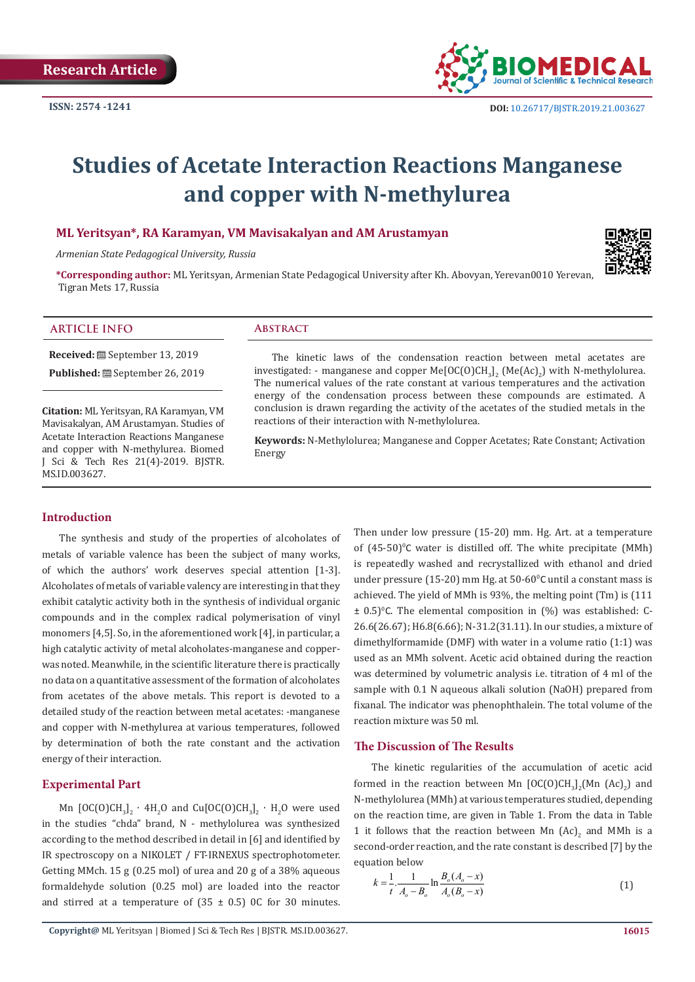

# **Studies of Acetate Interaction Reactions Manganese and copper with N-methylurea**

# **ML Yeritsyan\*, RA Karamyan, VM Mavisakalyan and AM Arustamyan**

*Armenian State Pedagogical University, Russia*

**\*Corresponding author:** ML Yeritsyan, Armenian State Pedagogical University after Kh. Abovyan, Yerevan0010 Yerevan, Tigran Mets 17, Russia

## **ARTICLE INFO ABSTRACT**

**Received:** September 13, 2019

Published: **■** September 26, 2019

**Citation:** ML Yeritsyan, RA Karamyan, VM Mavisakalyan, AM Arustamyan. Studies of Acetate Interaction Reactions Manganese and copper with N-methylurea. Biomed J Sci & Tech Res 21(4)-2019. BJSTR. MS.ID.003627.

# **Introduction**

The synthesis and study of the properties of alcoholates of metals of variable valence has been the subject of many works, of which the authors' work deserves special attention [1-3]. Alcoholates of metals of variable valency are interesting in that they exhibit catalytic activity both in the synthesis of individual organic compounds and in the complex radical polymerisation of vinyl monomers [4,5]. So, in the aforementioned work [4], in particular, a high catalytic activity of metal alcoholates-manganese and copperwas noted. Meanwhile, in the scientific literature there is practically no data on a quantitative assessment of the formation of alcoholates from acetates of the above metals. This report is devoted to a detailed study of the reaction between metal acetates: -manganese and copper with N-methylurea at various temperatures, followed by determination of both the rate constant and the activation energy of their interaction.

#### **Experimental Part**

Mn [OC(O)CH<sub>3</sub> $I_2$  · 4H<sub>2</sub>O and Cu[OC(O)CH<sub>3</sub> $I_2$  · H<sub>2</sub>O were used in the studies "chda" brand, N - methylolurea was synthesized according to the method described in detail in [6] and identified by IR spectroscopy on a NIKOLET / FT-IRNEXUS spectrophotometer. Getting MMch. 15 g (0.25 mol) of urea and 20 g of a 38% aqueous formaldehyde solution (0.25 mol) are loaded into the reactor and stirred at a temperature of  $(35 \pm 0.5)$  OC for 30 minutes.

The kinetic laws of the condensation reaction between metal acetates are investigated: - manganese and copper Me[OC(O)CH<sub>3</sub>]<sub>2</sub> (Me(Ac)<sub>2</sub>) with N-methylolurea.<br>— The numerical values of the rate constant at various temperatures and the activation energy of the condensation process between these compounds are estimated. A conclusion is drawn regarding the activity of the acetates of the studied metals in the reactions of their interaction with N-methylolurea.

**Keywords:** N-Methylolurea; Manganese and Copper Acetates; Rate Constant; Activation Energy

> Then under low pressure (15-20) mm. Hg. Art. at a temperature of  $(45-50)$ <sup>o</sup>C water is distilled off. The white precipitate (MMh) is repeatedly washed and recrystallized with ethanol and dried under pressure (15-20) mm Hg. at  $50{\text -}60^{\circ}$ C until a constant mass is achieved. The yield of MMh is 93%, the melting point (Tm) is (111  $\pm$  0.5)<sup>o</sup>C. The elemental composition in (%) was established: C-26.6(26.67); H6.8(6.66); N-31.2(31.11). In our studies, a mixture of dimethylformamide (DMF) with water in a volume ratio (1:1) was used as an MMh solvent. Acetic acid obtained during the reaction was determined by volumetric analysis i.e. titration of 4 ml of the sample with 0.1 N aqueous alkali solution (NaOH) prepared from fixanal. The indicator was phenophthalein. The total volume of the reaction mixture was 50 ml.

# **The Discussion of The Results**

The kinetic regularities of the accumulation of acetic acid formed in the reaction between Mn  $[{\rm OC}({\rm O}){\rm CH}_3]_2$  (Mn  $[{\rm AC}]_2$ ) and N-methylolurea (MMh) at various temperatures studied, depending on the reaction time, are given in Table 1. From the data in Table 1 it follows that the reaction between Mn  $(Ac)_2$  and MMh is a second-order reaction, and the rate constant is described [7] by the equation below

$$
k = \frac{1}{t} \cdot \frac{1}{A_o - B_o} \ln \frac{B_o(A_o - x)}{A_o(B_o - x)}
$$
(1)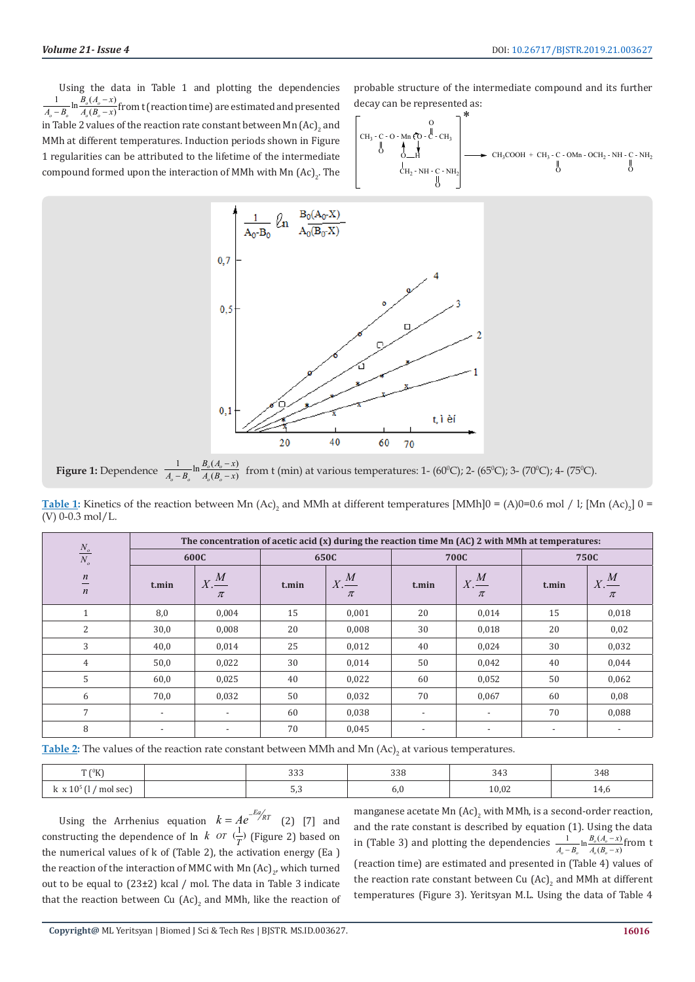Using the data in Table 1 and plotting the dependencies  $\frac{1}{-B_o}$  ln  $\frac{B_o(A_o - x)}{A_o(B_o - x)}$  $\mathbf{v}_o$   $\mathbf{v}_o$   $\mathbf{v}_o$  $B_{0} (A_{0} - x)$  $A_o - B_o$   $A_o (B_o - x)$  $\frac{1}{1-B_o}$  ln  $\frac{B_o(A_o-x)}{A_o(B_o-x)}$  from t (reaction time) are estimated and presented in Table 2 values of the reaction rate constant between Mn  $\left( \mathtt{Ac} \right)_2$  and MMh at different temperatures. Induction periods shown in Figure 1 regularities can be attributed to the lifetime of the intermediate compound formed upon the interaction of MMh with Mn  $\rm{(Ac)}_{2}$ . The probable structure of the intermediate compound and its further decay can be represented as:

$$
\left[\begin{matrix}0\\CH_3-C-O-Mn\ \stackrel{\bullet}{\bullet}\ \stackrel{\bullet}{\bullet}\ \stackrel{\bullet}{\bullet}\ \stackrel{\bullet}{\bullet}\ \stackrel{\bullet}{\bullet}\ \stackrel{\bullet}{\bullet}\ \stackrel{\bullet}{\bullet}\ \stackrel{\bullet}{\bullet}\ \stackrel{\bullet}{\bullet}\ \stackrel{\bullet}{\bullet}\ \stackrel{\bullet}{\bullet}\ \stackrel{\bullet}{\bullet}\ \stackrel{\bullet}{\bullet}\ \stackrel{\bullet}{\bullet}\ \stackrel{\bullet}{\bullet}\ \stackrel{\bullet}{\bullet}\ \stackrel{\bullet}{\bullet}\ \stackrel{\bullet}{\bullet}\ \stackrel{\bullet}{\bullet}\ \stackrel{\bullet}{\bullet}\ \stackrel{\bullet}{\bullet}\ \stackrel{\bullet}{\bullet}\ \stackrel{\bullet}{\bullet}\ \stackrel{\bullet}{\bullet}\ \stackrel{\bullet}{\bullet}\ \stackrel{\bullet}{\bullet}\ \stackrel{\bullet}{\bullet}\ \stackrel{\bullet}{\bullet}\ \stackrel{\bullet}{\bullet}\ \stackrel{\bullet}{\bullet}\ \stackrel{\bullet}{\bullet}\ \stackrel{\bullet}{\bullet}\ \stackrel{\bullet}{\bullet}\ \stackrel{\bullet}{\bullet}\ \stackrel{\bullet}{\bullet}\ \stackrel{\bullet}{\bullet}\ \stackrel{\bullet}{\bullet}\ \stackrel{\bullet}{\bullet}\ \stackrel{\bullet}{\bullet}\ \stackrel{\bullet}{\bullet}\ \stackrel{\bullet}{\bullet}\ \stackrel{\bullet}{\bullet}\ \stackrel{\bullet}{\bullet}\ \stackrel{\bullet}{\bullet}\ \stackrel{\bullet}{\bullet}\ \stackrel{\bullet}{\bullet}\ \stackrel{\bullet}{\bullet}\ \stackrel{\bullet}{\bullet}\ \stackrel{\bullet}{\bullet}\ \stackrel{\bullet}{\bullet}\ \stackrel{\bullet}{\bullet}\ \stackrel{\bullet}{\bullet}\ \stackrel{\bullet}{\bullet}\ \stackrel{\bullet}{\bullet}\ \stackrel{\bullet}{\bullet}\ \stackrel{\bullet}{\bullet}\ \stackrel{\bullet}{\bullet}\ \stackrel{\bullet}{\bullet}\ \stackrel{\bullet}{\bullet}\ \stackrel{\bullet}{\bullet}\ \stackrel{\bullet}{\bullet}\ \stackrel{\bullet}{\bullet}\ \stackrel{\bullet}{\bullet}\ \stackrel{\bullet}{\bullet}\ \stackrel{\bullet}{\bullet}\ \stackrel{\bullet}{\bullet}\ \stackrel{\bullet}{\bullet}\ \stackrel{\bullet}{\bullet}\ \stackrel{\bullet}{\bullet}\ \stackrel{\bullet}{\bullet}\ \stackrel{\bullet}{\bullet}\ \stackrel{\bullet}{\bullet}\ \stackrel{\bullet}{\bullet}\ \stackrel{\bullet}{\bullet}\ \stackrel{\bullet}{\bullet}\ \stackrel{\bullet}{\bullet}\ \stackrel{\bullet}{\bullet}\ \stackrel{\bullet}{\bullet}\ \stackrel{\bullet}{\bullet}\ \stackrel{\bullet}{\bullet}\ \stackrel{\bullet}{\bullet}\ \stackrel{\bullet}{\bullet}\ \stackrel{\bullet
$$



**Figure 1:** Dependence  $\frac{1}{A_o - B_o} \ln \frac{B_o(A_o - x)}{A_o(B_o - x)}$  $\mathbf{v}_o - \mathbf{D}_o$   $\mathbf{A}_o \setminus \mathbf{D}_o$  $B_{0} (A_{0} - x)$  $A_o - B_o$   $A_o (B_o - x)$  $\frac{1}{1-B_0} \ln \frac{B_o(A_o - x)}{A_o(B_o - x)}$  from t (min) at various temperatures: 1- (60°C); 2- (65°C); 3- (70°C); 4- (75°C).

**<u>Table 1</u>:** Kinetics of the reaction between Mn  $(Ac)$ <sub>2</sub> and MMh at different temperatures [MMh]0 =  $(A)0=0.6$  mol / l; [Mn  $(Ac)$ <sub>2</sub>] 0 = (V) 0-0.3 mol/L.

| $\frac{N_o}{N_o}$<br>$\boldsymbol{n}$<br>$\boldsymbol{n}$ | The concentration of acetic acid $(x)$ during the reaction time Mn $(AC)$ 2 with MMh at temperatures: |                              |       |                                            |                          |                              |       |                              |
|-----------------------------------------------------------|-------------------------------------------------------------------------------------------------------|------------------------------|-------|--------------------------------------------|--------------------------|------------------------------|-------|------------------------------|
|                                                           | 600C                                                                                                  |                              | 650C  |                                            | <b>700C</b>              |                              | 750C  |                              |
|                                                           | t.min                                                                                                 | $X \stackrel{M}{=}$<br>$\pi$ | t.min | $X \stackrel{M}{\longrightarrow}$<br>$\pi$ | t.min                    | $X \stackrel{M}{=}$<br>$\pi$ | t.min | $X \stackrel{M}{=}$<br>$\pi$ |
| T                                                         | 8,0                                                                                                   | 0.004                        | 15    | 0,001                                      | 20                       | 0,014                        | 15    | 0,018                        |
| 2                                                         | 30,0                                                                                                  | 0,008                        | 20    | 0,008                                      | 30                       | 0,018                        | 20    | 0,02                         |
| 3                                                         | 40,0                                                                                                  | 0,014                        | 25    | 0,012                                      | 40                       | 0,024                        | 30    | 0,032                        |
| 4                                                         | 50,0                                                                                                  | 0,022                        | 30    | 0,014                                      | 50                       | 0,042                        | 40    | 0,044                        |
| 5                                                         | 60,0                                                                                                  | 0,025                        | 40    | 0,022                                      | 60                       | 0,052                        | 50    | 0,062                        |
| 6                                                         | 70,0                                                                                                  | 0,032                        | 50    | 0,032                                      | 70                       | 0,067                        | 60    | 0,08                         |
| $\overline{7}$                                            | $\overline{\phantom{a}}$                                                                              | $\overline{\phantom{a}}$     | 60    | 0,038                                      | $\overline{\phantom{a}}$ | $\overline{\phantom{a}}$     | 70    | 0,088                        |
| 8                                                         | $\overline{\phantom{0}}$                                                                              | $\overline{\phantom{a}}$     | 70    | 0,045                                      |                          |                              |       |                              |

**Table 2:** The values of the reaction rate constant between MMh and Mn (Ac)<sub>2</sub> at various temperatures.

| $T(^0K)$ | 222<br>ააა | 220<br>ააი<br>. |       | $\sim$ $\sim$ |
|----------|------------|-----------------|-------|---------------|
| mol sec) | ັບເປ       | b.u             | 10,02 | <b>TT,U</b>   |

Using the Arrhenius equation  $k = Ae^{-Ea/kT}$  (2) [7] and constructing the dependence of ln *k OT*  $\left(\frac{1}{T}\right)$  (Figure 2) based on the numerical values of k of (Table 2), the activation energy (Еа ) the reaction of the interaction of MMC with Mn  $\left( \mathtt{Ac} \right)_2$ , which turned out to be equal to (23±2) kcal / mol. The data in Table 3 indicate that the reaction between Cu  $\left(\textrm{Ac}\right)_{2}$  and MMh, like the reaction of manganese acetate Mn  $\left( \mathtt{Ac}\right) _{2}$  with MMh, is a second-order reaction, and the rate constant is described by equation (1). Using the data in (Table 3) and plotting the dependencies  $\frac{1}{A_o - B_o} \ln \frac{B_o(A_o - x)}{A_o(B_o - x)}$  $\mathbf{u}_o$   $\mathbf{v}_o$   $\mathbf{u}_o$   $\mathbf{v}_o$  $B_{0} (A_{0} - x)$  $A_o - B_o$   $A_o (B_o - x$  $\frac{1}{-B_o} \ln \frac{B_o(A_o - x)}{A_o(B_o - x)}$  from t (reaction time) are estimated and presented in (Table 4) values of the reaction rate constant between Cu  $\left(\mathtt{Ac}\right)_{2}$  and MMh at different temperatures (Figure 3). Yeritsyan M.L. Using the data of Table 4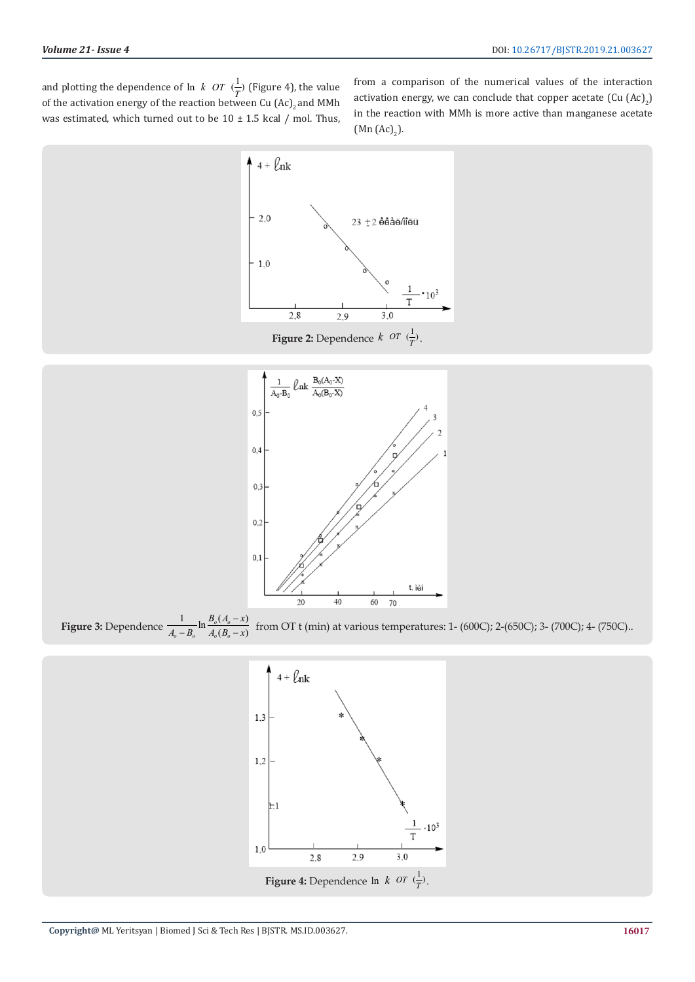and plotting the dependence of ln *k OT*  $(\frac{1}{T})$  (Figure 4), the value of the activation energy of the reaction between Cu  $\left(\mathtt{Ac}\right)_2$  and MMh was estimated, which turned out to be  $10 \pm 1.5$  kcal / mol. Thus,

from a comparison of the numerical values of the interaction activation energy, we can conclude that copper acetate (Cu  $\rm{(Ac)}_{2}$ ) in the reaction with MMh is more active than manganese acetate  $(Mn (Ac)<sub>2</sub>)$ .